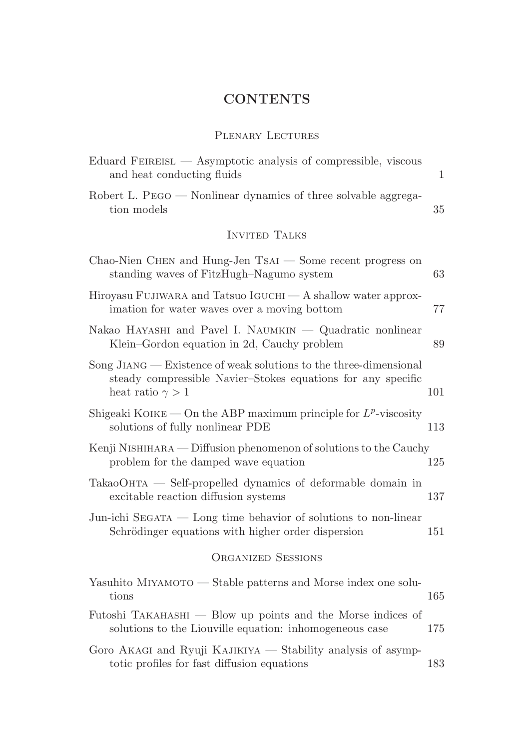## **CONTENTS**

## PLENARY LECTURES

| Eduard FEIREISL — Asymptotic analysis of compressible, viscous<br>and heat conducting fluids                                                                   | $\mathbf{1}$ |
|----------------------------------------------------------------------------------------------------------------------------------------------------------------|--------------|
| Robert L. PEGO — Nonlinear dynamics of three solvable aggrega-<br>tion models                                                                                  | 35           |
| <b>INVITED TALKS</b>                                                                                                                                           |              |
| Chao-Nien CHEN and Hung-Jen $TsAI$ — Some recent progress on<br>standing waves of FitzHugh-Nagumo system                                                       | 63           |
| Hiroyasu FUJIWARA and Tatsuo IGUCHI — A shallow water approx-<br>imation for water waves over a moving bottom                                                  | 77           |
| Nakao HAYASHI and Pavel I. NAUMKIN — Quadratic nonlinear<br>Klein–Gordon equation in 2d, Cauchy problem                                                        | 89           |
| Song $JIANG$ – Existence of weak solutions to the three-dimensional<br>steady compressible Navier-Stokes equations for any specific<br>heat ratio $\gamma > 1$ | 101          |
| Shigeaki KOIKE — On the ABP maximum principle for $L^p$ -viscosity<br>solutions of fully nonlinear PDE                                                         | 113          |
| Kenji NISHIHARA — Diffusion phenomenon of solutions to the Cauchy<br>problem for the damped wave equation                                                      | 125          |
| TakaoOHTA — Self-propelled dynamics of deformable domain in<br>excitable reaction diffusion systems                                                            | 137          |
| Jun-ichi SEGATA $-$ Long time behavior of solutions to non-linear<br>Schrödinger equations with higher order dispersion                                        | 151          |
| <b>ORGANIZED SESSIONS</b>                                                                                                                                      |              |
| Yasuhito MIYAMOTO — Stable patterns and Morse index one solu-<br>tions                                                                                         | 165          |
| Futoshi $TAKAHASHI$ $\longrightarrow$ Blow up points and the Morse indices of<br>solutions to the Liouville equation: inhomogeneous case                       | 175          |
| Goro AKAGI and Ryuji KAJIKIYA — Stability analysis of asymp-<br>totic profiles for fast diffusion equations                                                    | 183          |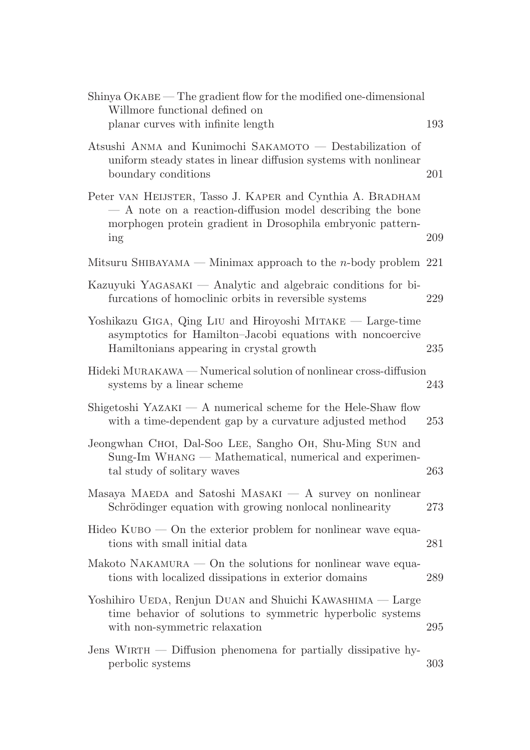| Shinya OKABE — The gradient flow for the modified one-dimensional<br>Willmore functional defined on<br>planar curves with infinite length                                                     | 193 |
|-----------------------------------------------------------------------------------------------------------------------------------------------------------------------------------------------|-----|
| Atsushi ANMA and Kunimochi SAKAMOTO — Destabilization of<br>uniform steady states in linear diffusion systems with nonlinear<br>boundary conditions                                           | 201 |
| Peter VAN HEIJSTER, Tasso J. KAPER and Cynthia A. BRADHAM<br>- A note on a reaction-diffusion model describing the bone<br>morphogen protein gradient in Drosophila embryonic pattern-<br>ing | 209 |
| Mitsuru SHIBAYAMA — Minimax approach to the <i>n</i> -body problem $221$                                                                                                                      |     |
| Kazuyuki YAGASAKI — Analytic and algebraic conditions for bi-<br>furcations of homoclinic orbits in reversible systems                                                                        | 229 |
| Yoshikazu GIGA, Qing LIU and Hiroyoshi MITAKE — Large-time<br>asymptotics for Hamilton-Jacobi equations with noncoercive<br>Hamiltonians appearing in crystal growth                          | 235 |
| Hideki MURAKAWA — Numerical solution of nonlinear cross-diffusion<br>systems by a linear scheme                                                                                               | 243 |
| Shigetoshi YAZAKI — $A$ numerical scheme for the Hele-Shaw flow<br>with a time-dependent gap by a curvature adjusted method                                                                   | 253 |
| Jeongwhan CHOI, Dal-Soo LEE, Sangho OH, Shu-Ming SUN and<br>Sung-Im WHANG — Mathematical, numerical and experimen-<br>tal study of solitary waves                                             | 263 |
| Masaya MAEDA and Satoshi MASAKI $-$ A survey on nonlinear<br>Schrödinger equation with growing nonlocal nonlinearity                                                                          | 273 |
| Hideo $KUBO$ – On the exterior problem for nonlinear wave equa-<br>tions with small initial data                                                                                              | 281 |
| Makoto NAKAMURA $-$ On the solutions for nonlinear wave equa-<br>tions with localized dissipations in exterior domains                                                                        | 289 |
| Yoshihiro UEDA, Renjun DUAN and Shuichi KAWASHIMA — Large<br>time behavior of solutions to symmetric hyperbolic systems<br>with non-symmetric relaxation                                      | 295 |
| Jens WIRTH $-$ Diffusion phenomena for partially dissipative hy-<br>perbolic systems                                                                                                          | 303 |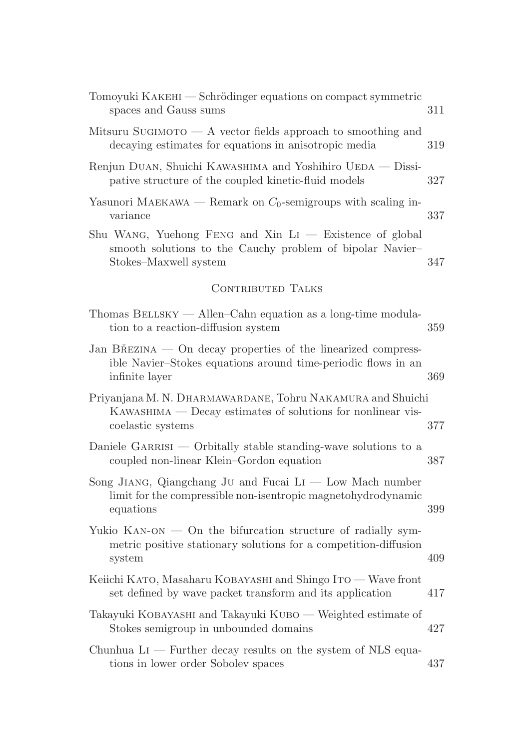| Tomoyuki KAKEHI — Schrödinger equations on compact symmetric<br>spaces and Gauss sums                                                            | 311 |
|--------------------------------------------------------------------------------------------------------------------------------------------------|-----|
| Mitsuru SUGIMOTO $- A$ vector fields approach to smoothing and<br>decaying estimates for equations in anisotropic media                          | 319 |
| Renjun DUAN, Shuichi KAWASHIMA and Yoshihiro UEDA — Dissi-<br>pative structure of the coupled kinetic-fluid models                               | 327 |
| Yasunori MAEKAWA — Remark on $C_0$ -semigroups with scaling in-<br>variance                                                                      | 337 |
| Shu WANG, Yuehong FENG and Xin $Li$ - Existence of global<br>smooth solutions to the Cauchy problem of bipolar Navier-<br>Stokes–Maxwell system  | 347 |
| <b>CONTRIBUTED TALKS</b>                                                                                                                         |     |
| Thomas $B \text{ELLSKY}$ - Allen-Cahn equation as a long-time modula-<br>tion to a reaction-diffusion system                                     | 359 |
| Jan BŘEZINA — On decay properties of the linearized compress-<br>ible Navier-Stokes equations around time-periodic flows in an<br>infinite layer | 369 |
| Priyanjana M. N. DHARMAWARDANE, Tohru NAKAMURA and Shuichi<br>KAWASHIMA — Decay estimates of solutions for nonlinear vis-<br>coelastic systems   | 377 |
| Daniele GARRISI — Orbitally stable standing-wave solutions to a<br>coupled non-linear Klein-Gordon equation                                      | 387 |
| Song JIANG, Qiangchang JU and Fucai $Li$ — Low Mach number<br>limit for the compressible non-isentropic magnetohydrodynamic<br>equations         | 399 |
| Yukio $KAN-ON$ — On the bifurcation structure of radially sym-<br>metric positive stationary solutions for a competition-diffusion<br>system     | 409 |
| Keiichi KATO, Masaharu KOBAYASHI and Shingo ITO — Wave front<br>set defined by wave packet transform and its application                         | 417 |
| Takayuki KOBAYASHI and Takayuki KUBO — Weighted estimate of<br>Stokes semigroup in unbounded domains                                             | 427 |
| Chunhua $Li$ — Further decay results on the system of NLS equa-<br>tions in lower order Sobolev spaces                                           | 437 |